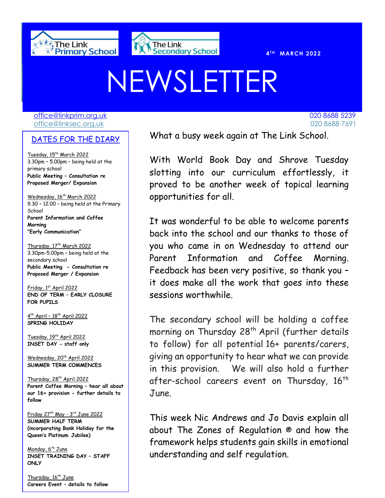



**T H MARCH 2022** 

# NEWSLETTER

[office@linkprim.org.uk](mailto:office@linkprim.org.uk) 020 8688 5239 office@linksec.org.uk 020 8688 7691

#### DATES FOR THE DIARY

Tuesday, 15<sup>th</sup> March 2022 3.30pm – 5.00pm – being held at the primary school **Public Meeting – Consultation re Proposed Merger/ Expansion** 

Wednesday, 16<sup>th</sup> March 2022 9.30 – 12.00 – being held at the Primary **School Parent Information and Coffee Morning "Early Communication"**

Thursday, 17<sup>th</sup> March 2022 3.30pm-5.00pm – being held at the secondary school **Public Meeting - Consultation re Proposed Merger / Expansion**

Friday, 1st April 2022 **END OF TERM – EARLY CLOSURE FOR PUPILS**

4<sup>th</sup> April - 18<sup>th</sup> April 2022 **SPRING HOLIDAY**

Tuesday, 19<sup>th</sup> April 2022 **INSET DAY - staff only**

Wednesday, 20<sup>th</sup> April 2022 **SUMMER TERM COMMENCES**

Thursday, 28<sup>th</sup> April 2022 **Parent Coffee Morning – hear all about our 16+ provision - further details to follow**

Friday 27th May - 3 rd June 2022 **SUMMER HALF TERM (incorporating Bank Holiday for the Queen's Platinum Jubilee)**

Monday, 6<sup>th</sup> June **INSET TRAINING DAY – STAFF ONLY**

Thursday, 16<sup>th</sup> June **Careers Event – details to follow**

NATES FOR THE NTARY What a busy week again at The Link School.

With World Book Day and Shrove Tuesday slotting into our curriculum effortlessly, it proved to be another week of topical learning opportunities for all.

It was wonderful to be able to welcome parents back into the school and our thanks to those of you who came in on Wednesday to attend our Parent Information and Coffee Morning. Feedback has been very positive, so thank you – it does make all the work that goes into these sessions worthwhile.

The secondary school will be holding a coffee morning on Thursday 28<sup>th</sup> April (further details to follow) for all potential 16+ parents/carers, giving an opportunity to hear what we can provide in this provision. We will also hold a further after-school careers event on Thursday, 16<sup>th</sup> June.

This week Nic Andrews and Jo Davis explain all about The Zones of Regulation ® and how the framework helps students gain skills in emotional understanding and self regulation.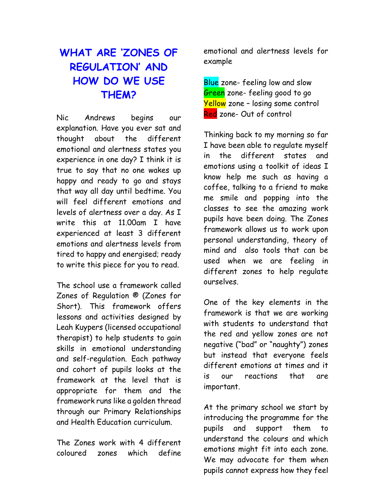# **WHAT ARE 'ZONES OF REGULATION' AND HOW DO WE USE THEM?**

Nic Andrews begins our explanation. Have you ever sat and thought about the different emotional and alertness states you experience in one day? I think it is true to say that no one wakes up happy and ready to go and stays that way all day until bedtime. You will feel different emotions and levels of alertness over a day. As I write this at 11.00am I have experienced at least 3 different emotions and alertness levels from tired to happy and energised; ready to write this piece for you to read.

The school use a framework called Zones of Regulation ® (Zones for Short). This framework offers lessons and activities designed by Leah Kuypers (licensed occupational therapist) to help students to gain skills in emotional understanding and self-regulation. Each pathway and cohort of pupils looks at the framework at the level that is appropriate for them and the framework runs like a golden thread through our Primary Relationships and Health Education curriculum.

The Zones work with 4 different coloured zones which define emotional and alertness levels for example

Blue zone- feeling low and slow Green zone- feeling good to go Yellow zone - losing some control Red zone- Out of control

Thinking back to my morning so far I have been able to regulate myself in the different states and emotions using a toolkit of ideas I know help me such as having a coffee, talking to a friend to make me smile and popping into the classes to see the amazing work pupils have been doing. The Zones framework allows us to work upon personal understanding, theory of mind and also tools that can be used when we are feeling in different zones to help regulate ourselves.

One of the key elements in the framework is that we are working with students to understand that the red and yellow zones are not negative ("bad" or "naughty") zones but instead that everyone feels different emotions at times and it is our reactions that are important.

At the primary school we start by introducing the programme for the pupils and support them to understand the colours and which emotions might fit into each zone. We may advocate for them when pupils cannot express how they feel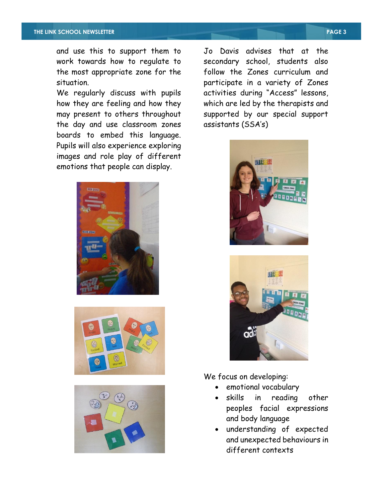and use this to support them to work towards how to regulate to the most appropriate zone for the situation.

We regularly discuss with pupils how they are feeling and how they may present to others throughout the day and use classroom zones boards to embed this language. Pupils will also experience exploring images and role play of different emotions that people can display.







Jo Davis advises that at the secondary school, students also follow the Zones curriculum and participate in a variety of Zones activities during "Access" lessons, which are led by the therapists and supported by our special support assistants (SSA's)





We focus on developing:

- emotional vocabulary
- skills in reading other peoples facial expressions and body language
- understanding of expected and unexpected behaviours in different contexts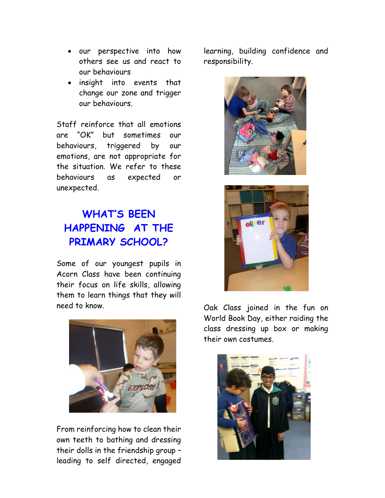- our perspective into how others see us and react to our behaviours
- insight into events that change our zone and trigger our behaviours.

Staff reinforce that all emotions are "OK" but sometimes our behaviours, triggered by our emotions, are not appropriate for the situation. We refer to these behaviours as expected or unexpected.

# **WHAT'S BEEN HAPPENING AT THE PRIMARY SCHOOL?**

Some of our youngest pupils in Acorn Class have been continuing their focus on life skills, allowing them to learn things that they will need to know.



From reinforcing how to clean their own teeth to bathing and dressing their dolls in the friendship group – leading to self directed, engaged learning, building confidence and responsibility.





Oak Class joined in the fun on World Book Day, either raiding the class dressing up box or making their own costumes.

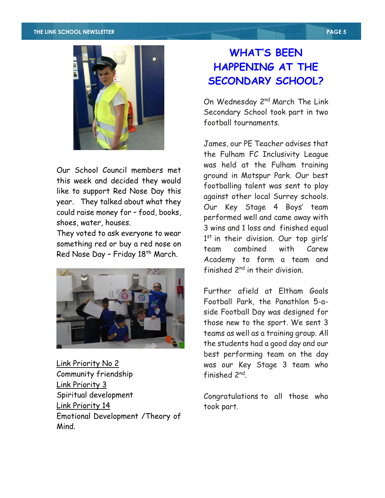

Our School Council members met this week and decided they would like to support Red Nose Day this year. They talked about what they could raise money for – food, books, shoes, water, houses.

They voted to ask everyone to wear something red or buy a red nose on Red Nose Day - Friday 18<sup>th</sup> March.



Link Priority No 2 Community friendship Link Priority 3 Spiritual development Link Priority 14 Emotional Development /Theory of Mind.

## **WHAT'S BEEN HAPPENING AT THE SECONDARY SCHOOL?**

On Wednesday 2<sup>nd</sup> March The Link Secondary School took part in two football tournaments.

James, our PE Teacher advises that the Fulham FC Inclusivity League was held at the Fulham training ground in Motspur Park. Our best footballing talent was sent to play against other local Surrey schools. Our Key Stage 4 Boys' team performed well and came away with 3 wins and 1 loss and finished equal 1<sup>st</sup> in their division. Our top girls' team combined with Carew Academy to form a team and finished 2<sup>nd</sup> in their division.

Further afield at Eltham Goals Football Park, the Panathlon 5-aside Football Day was designed for those new to the sport. We sent 3 teams as well as a training group. All the students had a good day and our best performing team on the day was our Key Stage 3 team who finished 2<sup>nd</sup>.

Congratulations to all those who took part.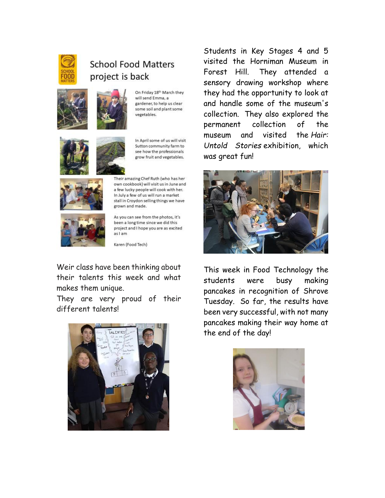

#### **School Food Matters** project is back





On Friday 18th March they will send Emma, a gardener, to help us clear some soil and plant some vegetables.



In April some of us will visit Sutton community farm to see how the professionals grow fruit and vegetables.



Their amazing Chef Ruth (who has her own cookbook) will visit us in June and a few lucky people will cook with her. In July a few of us will run a market stall in Croydon selling things we have grown and made.



As you can see from the photos, it's been a long time since we did this project and I hope you are as excited aslam

Karen (Food Tech)

Weir class have been thinking about their talents this week and what makes them unique.

They are very proud of their different talents!



Students in Key Stages 4 and 5 visited the Horniman Museum in Forest Hill. They attended a sensory drawing workshop where they had the opportunity to look at and handle some of the museum's collection. They also explored the permanent collection of the museum and visited the *Hair: Untold Stories* exhibition, which was great fun!



This week in Food Technology the students were busy making pancakes in recognition of Shrove Tuesday. So far, the results have been very successful, with not many pancakes making their way home at the end of the day!